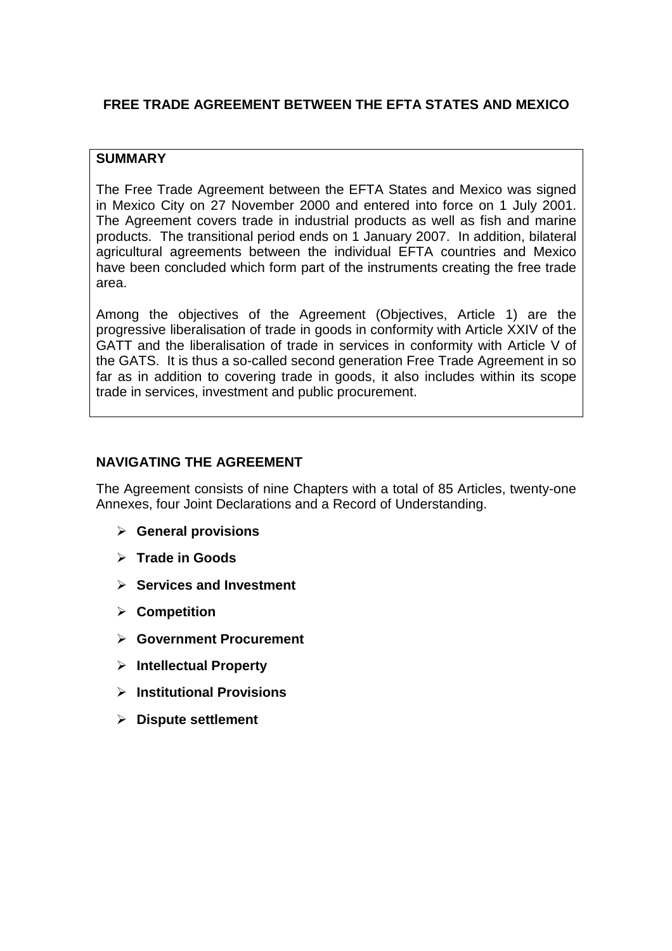# **FREE TRADE AGREEMENT BETWEEN THE EFTA STATES AND MEXICO**

# **SUMMARY**

The Free Trade Agreement between the EFTA States and Mexico was signed in Mexico City on 27 November 2000 and entered into force on 1 July 2001. The Agreement covers trade in industrial products as well as fish and marine products. The transitional period ends on 1 January 2007. In addition, bilateral agricultural agreements between the individual EFTA countries and Mexico have been concluded which form part of the instruments creating the free trade area.

Among the objectives of the Agreement (Objectives, Article 1) are the progressive liberalisation of trade in goods in conformity with Article XXIV of the GATT and the liberalisation of trade in services in conformity with Article V of the GATS. It is thus a so-called second generation Free Trade Agreement in so far as in addition to covering trade in goods, it also includes within its scope trade in services, investment and public procurement.

## **NAVIGATING THE AGREEMENT**

The Agreement consists of nine Chapters with a total of 85 Articles, twenty-one Annexes, four Joint Declarations and a Record of Understanding.

- **General provisions**
- **Trade in Goods**
- **Services and Investment**
- **Competition**
- **Government Procurement**
- **Intellectual Property**
- **Institutional Provisions**
- **Dispute settlement**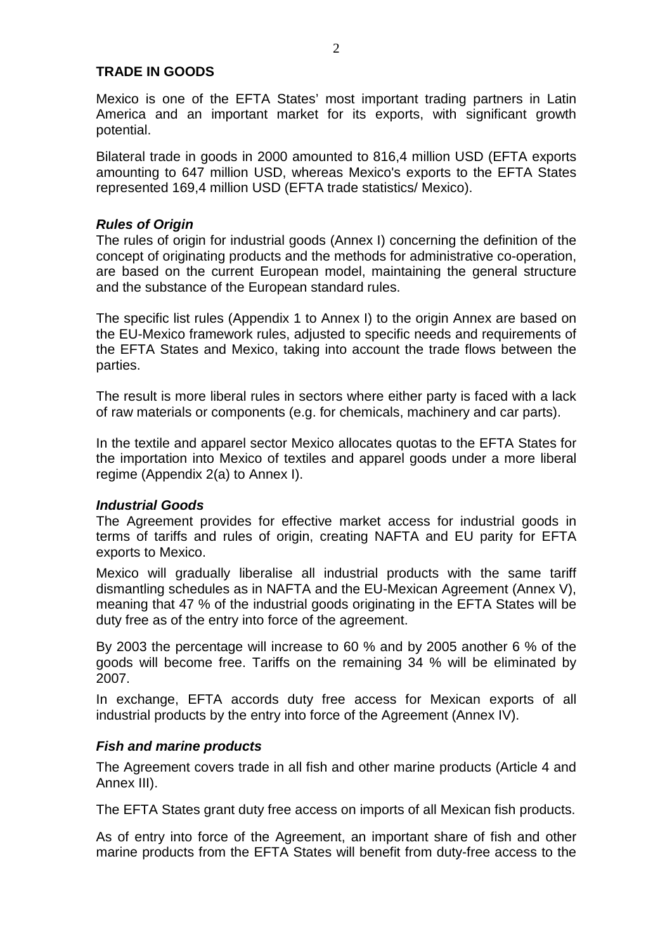#### **TRADE IN GOODS**

Mexico is one of the EFTA States' most important trading partners in Latin America and an important market for its exports, with significant growth potential.

Bilateral trade in goods in 2000 amounted to 816,4 million USD (EFTA exports amounting to 647 million USD, whereas Mexico's exports to the EFTA States represented 169,4 million USD (EFTA trade statistics/ Mexico).

#### **Rules of Origin**

The rules of origin for industrial goods (Annex I) concerning the definition of the concept of originating products and the methods for administrative co-operation, are based on the current European model, maintaining the general structure and the substance of the European standard rules.

The specific list rules (Appendix 1 to Annex I) to the origin Annex are based on the EU-Mexico framework rules, adjusted to specific needs and requirements of the EFTA States and Mexico, taking into account the trade flows between the parties.

The result is more liberal rules in sectors where either party is faced with a lack of raw materials or components (e.g. for chemicals, machinery and car parts).

In the textile and apparel sector Mexico allocates quotas to the EFTA States for the importation into Mexico of textiles and apparel goods under a more liberal regime (Appendix 2(a) to Annex I).

## **Industrial Goods**

The Agreement provides for effective market access for industrial goods in terms of tariffs and rules of origin, creating NAFTA and EU parity for EFTA exports to Mexico.

Mexico will gradually liberalise all industrial products with the same tariff dismantling schedules as in NAFTA and the EU-Mexican Agreement (Annex V), meaning that 47 % of the industrial goods originating in the EFTA States will be duty free as of the entry into force of the agreement.

By 2003 the percentage will increase to 60 % and by 2005 another 6 % of the goods will become free. Tariffs on the remaining 34 % will be eliminated by 2007.

In exchange, EFTA accords duty free access for Mexican exports of all industrial products by the entry into force of the Agreement (Annex IV).

## **Fish and marine products**

The Agreement covers trade in all fish and other marine products (Article 4 and Annex III).

The EFTA States grant duty free access on imports of all Mexican fish products.

As of entry into force of the Agreement, an important share of fish and other marine products from the EFTA States will benefit from duty-free access to the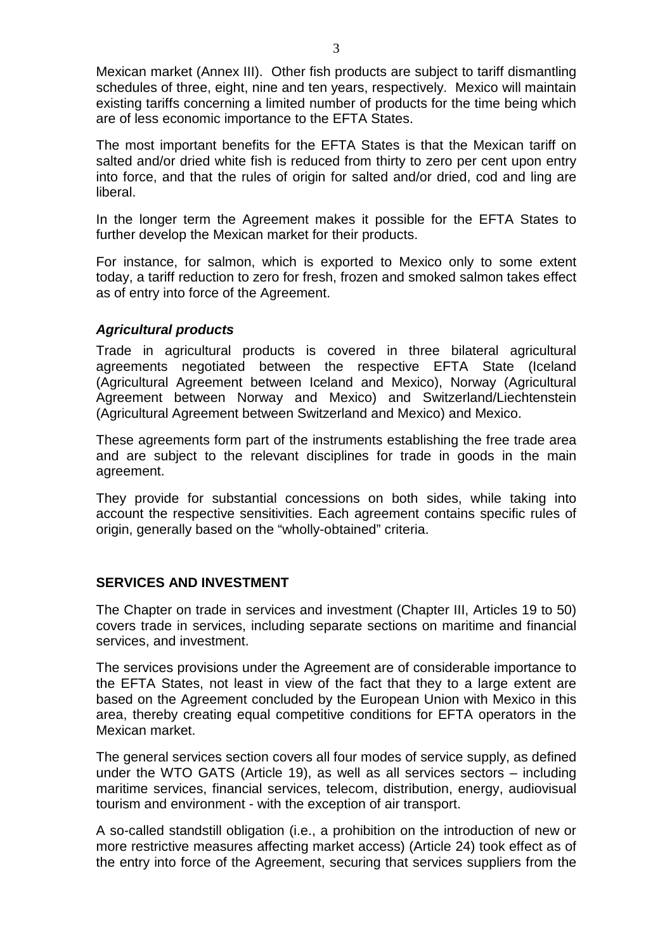Mexican market (Annex III). Other fish products are subject to tariff dismantling schedules of three, eight, nine and ten years, respectively. Mexico will maintain existing tariffs concerning a limited number of products for the time being which are of less economic importance to the EFTA States.

The most important benefits for the EFTA States is that the Mexican tariff on salted and/or dried white fish is reduced from thirty to zero per cent upon entry into force, and that the rules of origin for salted and/or dried, cod and ling are liberal.

In the longer term the Agreement makes it possible for the EFTA States to further develop the Mexican market for their products.

For instance, for salmon, which is exported to Mexico only to some extent today, a tariff reduction to zero for fresh, frozen and smoked salmon takes effect as of entry into force of the Agreement.

## **Agricultural products**

Trade in agricultural products is covered in three bilateral agricultural agreements negotiated between the respective EFTA State (Iceland (Agricultural Agreement between Iceland and Mexico), Norway (Agricultural Agreement between Norway and Mexico) and Switzerland/Liechtenstein (Agricultural Agreement between Switzerland and Mexico) and Mexico.

These agreements form part of the instruments establishing the free trade area and are subject to the relevant disciplines for trade in goods in the main agreement.

They provide for substantial concessions on both sides, while taking into account the respective sensitivities. Each agreement contains specific rules of origin, generally based on the "wholly-obtained" criteria.

## **SERVICES AND INVESTMENT**

The Chapter on trade in services and investment (Chapter III, Articles 19 to 50) covers trade in services, including separate sections on maritime and financial services, and investment.

The services provisions under the Agreement are of considerable importance to the EFTA States, not least in view of the fact that they to a large extent are based on the Agreement concluded by the European Union with Mexico in this area, thereby creating equal competitive conditions for EFTA operators in the Mexican market.

The general services section covers all four modes of service supply, as defined under the WTO GATS (Article 19), as well as all services sectors – including maritime services, financial services, telecom, distribution, energy, audiovisual tourism and environment - with the exception of air transport.

A so-called standstill obligation (i.e., a prohibition on the introduction of new or more restrictive measures affecting market access) (Article 24) took effect as of the entry into force of the Agreement, securing that services suppliers from the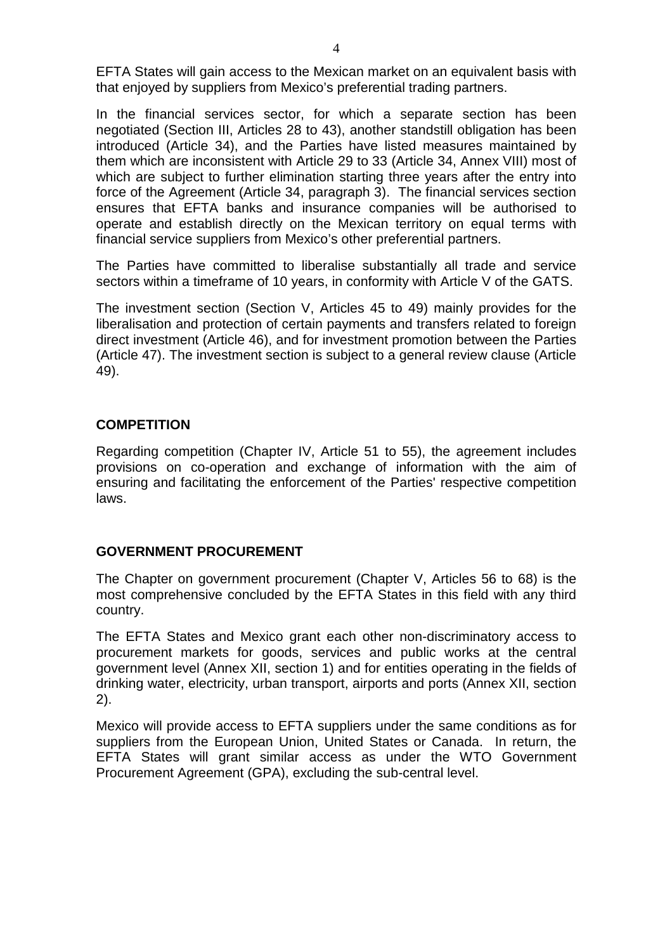EFTA States will gain access to the Mexican market on an equivalent basis with that enjoyed by suppliers from Mexico's preferential trading partners.

In the financial services sector, for which a separate section has been negotiated (Section III, Articles 28 to 43), another standstill obligation has been introduced (Article 34), and the Parties have listed measures maintained by them which are inconsistent with Article 29 to 33 (Article 34, Annex VIII) most of which are subject to further elimination starting three years after the entry into force of the Agreement (Article 34, paragraph 3). The financial services section ensures that EFTA banks and insurance companies will be authorised to operate and establish directly on the Mexican territory on equal terms with financial service suppliers from Mexico's other preferential partners.

The Parties have committed to liberalise substantially all trade and service sectors within a timeframe of 10 years, in conformity with Article V of the GATS.

The investment section (Section V, Articles 45 to 49) mainly provides for the liberalisation and protection of certain payments and transfers related to foreign direct investment (Article 46), and for investment promotion between the Parties (Article 47). The investment section is subject to a general review clause (Article 49).

## **COMPETITION**

Regarding competition (Chapter IV, Article 51 to 55), the agreement includes provisions on co-operation and exchange of information with the aim of ensuring and facilitating the enforcement of the Parties' respective competition laws.

#### **GOVERNMENT PROCUREMENT**

The Chapter on government procurement (Chapter V, Articles 56 to 68) is the most comprehensive concluded by the EFTA States in this field with any third country.

The EFTA States and Mexico grant each other non-discriminatory access to procurement markets for goods, services and public works at the central government level (Annex XII, section 1) and for entities operating in the fields of drinking water, electricity, urban transport, airports and ports (Annex XII, section 2).

Mexico will provide access to EFTA suppliers under the same conditions as for suppliers from the European Union, United States or Canada. In return, the EFTA States will grant similar access as under the WTO Government Procurement Agreement (GPA), excluding the sub-central level.